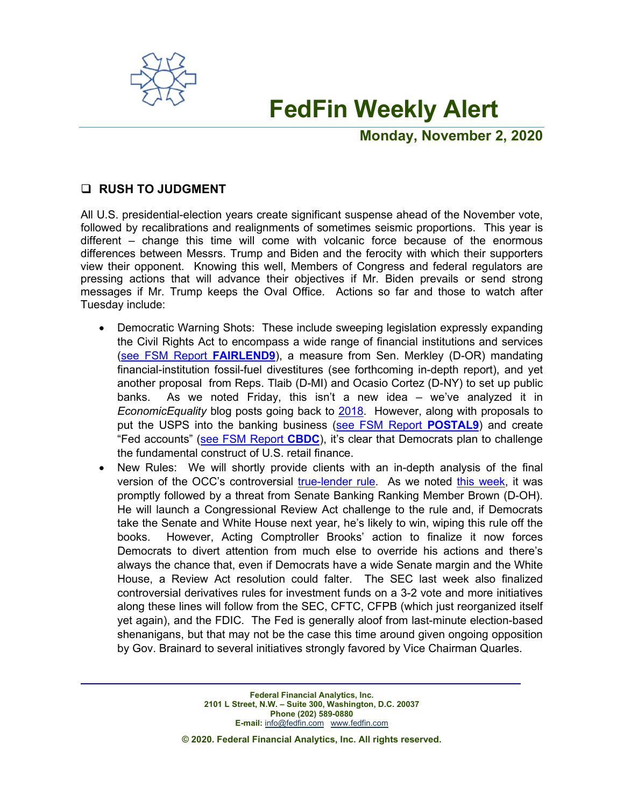

# **FedFin Weekly Alert**

**Monday, November 2, 2020**

# **RUSH TO JUDGMENT**

All U.S. presidential-election years create significant suspense ahead of the November vote, followed by recalibrations and realignments of sometimes seismic proportions. This year is different – change this time will come with volcanic force because of the enormous differences between Messrs. Trump and Biden and the ferocity with which their supporters view their opponent. Knowing this well, Members of Congress and federal regulators are pressing actions that will advance their objectives if Mr. Biden prevails or send strong messages if Mr. Trump keeps the Oval Office. Actions so far and those to watch after Tuesday include:

- **•** Democratic Warning Shots: These include sweeping legislation expressly expanding the Civil Rights Act to encompass a wide range of financial institutions and services (see FSM Report **[FAIRLEND9](https://fedfin.com/wp-content/uploads/2020/10/FAIRLEND9.pdf)**), a measure from Sen. Merkley (D-OR) mandating financial-institution fossil-fuel divestitures (see forthcoming in-depth report), and yet another proposal from Reps. Tlaib (D-MI) and Ocasio Cortez (D-NY) to set up public banks. As we noted Friday, this isn't a new idea – we've analyzed it in *EconomicEquality* blog posts going back to [2018.](https://economicequality.blog/2018/12/06/public-banking-under-a-blue-wave/) However, along with proposals to put the USPS into the banking business (see [FSM Report](https://fedfin.com/wp-content/uploads/2020/08/POSTAL9.pdf) **POSTAL9**) and create "Fed accounts" [\(see FSM Report](https://fedfin.com/wp-content/uploads/2020/04/cbdc.pdf) **CBDC**), it's clear that Democrats plan to challenge the fundamental construct of U.S. retail finance.
- **•** New Rules: We will shortly provide clients with an in-depth analysis of the final version of the OCC's controversial [true-lender rule.](https://fedfin.com/wp-content/uploads/2020/10/Daily102720.pdf) As we noted this [week,](https://fedfin.com/wp-content/uploads/2020/10/Daily102820.pdf) it was promptly followed by a threat from Senate Banking Ranking Member Brown (D-OH). He will launch a Congressional Review Act challenge to the rule and, if Democrats take the Senate and White House next year, he's likely to win, wiping this rule off the books. However, Acting Comptroller Brooks' action to finalize it now forces Democrats to divert attention from much else to override his actions and there's always the chance that, even if Democrats have a wide Senate margin and the White House, a Review Act resolution could falter. The SEC last week also finalized controversial derivatives rules for investment funds on a 3-2 vote and more initiatives along these lines will follow from the SEC, CFTC, CFPB (which just reorganized itself yet again), and the FDIC. The Fed is generally aloof from last-minute election-based shenanigans, but that may not be the case this time around given ongoing opposition by Gov. Brainard to several initiatives strongly favored by Vice Chairman Quarles.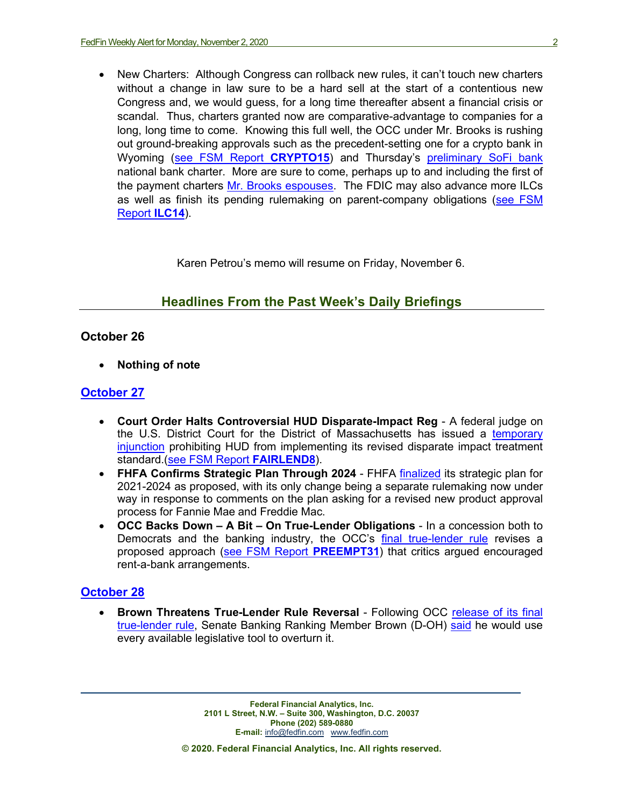**•** New Charters: Although Congress can rollback new rules, it can't touch new charters without a change in law sure to be a hard sell at the start of a contentious new Congress and, we would guess, for a long time thereafter absent a financial crisis or scandal. Thus, charters granted now are comparative-advantage to companies for a long, long time to come. Knowing this full well, the OCC under Mr. Brooks is rushing out ground-breaking approvals such as the precedent-setting one for a crypto bank in Wyoming [\(see FSM Report](https://fedfin.com/wp-content/uploads/2020/09/CRYPTO15.pdf) **CRYPTO15**) and Thursday's [preliminary](https://fedfin.com/wp-content/uploads/2020/10/Daily102920.pdf) SoFi bank national bank charter. More are sure to come, perhaps up to and including the first of the payment charters [Mr. Brooks espouses.](https://fedfin.com/wp-content/uploads/2020/07/Daily072920.pdf) The FDIC may also advance more ILCs as well as finish its pending rulemaking on parent-company obligations [\(see FSM](https://fedfin.com/wp-content/uploads/2020/04/ilc14.pdf) [Report](https://fedfin.com/wp-content/uploads/2020/04/ilc14.pdf) **ILC14**).

Karen Petrou's memo will resume on Friday, November 6.

# **Headlines From the Past Week's Daily Briefings**

#### **October 26**

**• Nothing of note**

#### **[October 27](https://fedfin.com/wp-content/uploads/2020/10/Daily102720.pdf)**

- **• Court Order Halts Controversial HUD Disparate-Impact Reg** A federal judge on the U.S. District Court for the District of Massachusetts has issued a [temporary](http://lawyersforcivilrights.org/wp-content/uploads/2020/10/Nationwide-PI-Against-HUD.pdf)  [injunction](http://lawyersforcivilrights.org/wp-content/uploads/2020/10/Nationwide-PI-Against-HUD.pdf) prohibiting HUD from implementing its revised disparate impact treatment standard.[\(see FSM Report](https://fedfin.com/wp-content/uploads/2020/09/FAIRLEND8.pdf) **FAIRLEND8**).
- **• FHFA Confirms Strategic Plan Through 2024** FHFA [finalized](https://www.fhfa.gov/AboutUs/Reports/ReportDocuments/FHFA_StrategicPlan_2021-2024_Final.pdf) its strategic plan for 2021-2024 as proposed, with its only change being a separate rulemaking now under way in response to comments on the plan asking for a revised new product approval process for Fannie Mae and Freddie Mac.
- **• OCC Backs Down – A Bit – On True-Lender Obligations** In a concession both to Democrats and the banking industry, the OCC's [final true-lender rule](https://occ.gov/news-issuances/federal-register/2020/nr-occ-2020-139a.pdf) revises a proposed approach [\(see FSM Report](https://fedfin.com/wp-content/uploads/2019/12/preempt31.pdf) **PREEMPT31**) that critics argued encouraged rent-a-bank arrangements.

## **[October 28](https://fedfin.com/wp-content/uploads/2020/10/Daily102820.pdf)**

**• Brown Threatens True-Lender Rule Reversal** - Following OCC [release of its final](https://fedfin.com/wp-content/uploads/2020/10/Daily102720.pdf)  [true-lender rule,](https://fedfin.com/wp-content/uploads/2020/10/Daily102720.pdf) Senate Banking Ranking Member Brown (D-OH) [said](https://www.banking.senate.gov/newsroom/minority/brown-blasts-occ-for-finalizing-the-rent-a-bank-rule) he would use every available legislative tool to overturn it.

> **Federal Financial Analytics, Inc. 2101 L Street, N.W. – Suite 300, Washington, D.C. 20037 Phone (202) 589-0880 E-mail:** [info@fedfin.com](mailto:info@fedfin.com)[www.fedfin.com](http://www.fedfin.com/)

**© 2020. Federal Financial Analytics, Inc. All rights reserved.**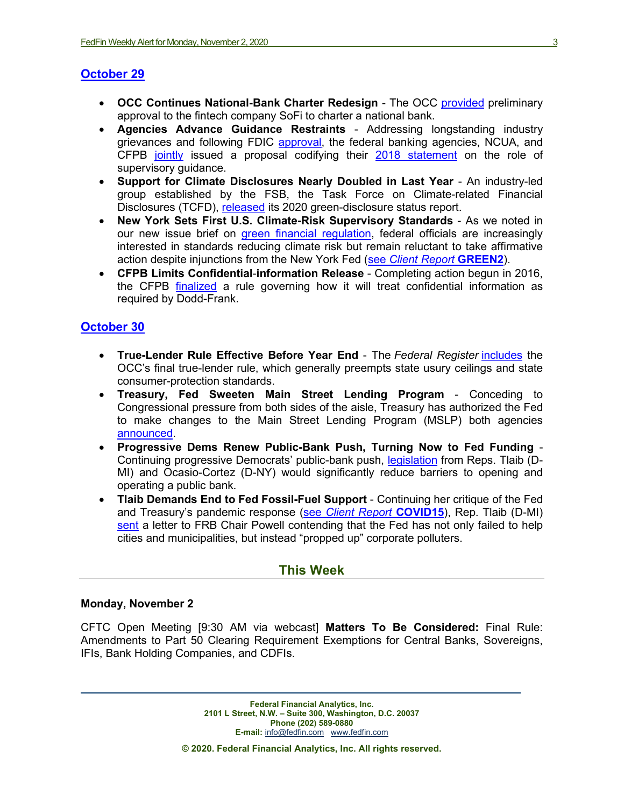## **[October 29](https://fedfin.com/wp-content/uploads/2020/10/Daily102920.pdf)**

- **• OCC Continues National-Bank Charter Redesign** The OCC [provided](https://www.occ.gov/news-issuances/news-releases/2020/nr-occ-2020-141.html) preliminary approval to the fintech company SoFi to charter a national bank.
- **• Agencies Advance Guidance Restraints** Addressing longstanding industry grievances and following FDIC [approval,](https://fedfin.com/wp-content/uploads/2020/10/Daily102020.pdf) the federal banking agencies, NCUA, and CFPB [jointly](https://www.federalreserve.gov/newsevents/pressreleases/files/bcreg20201029a1.pdf) issued a proposal codifying their [2018 statement](https://fedfin.com/wp-content/uploads/2018/09/daily091118.pdf) on the role of supervisory guidance.
- **• Support for Climate Disclosures Nearly Doubled in Last Year**  An industry-led group established by the FSB, the Task Force on Climate-related Financial Disclosures (TCFD), [released](https://www.fsb.org/wp-content/uploads/P291020-1.pdf) its 2020 green-disclosure status report.
- **• New York Sets First U.S. Climate-Risk Supervisory Standards** As we noted in our new issue brief on [green financial regulation,](https://fedfin.com/wp-content/uploads/2020/10/FedFin-Issues-Brief-Going-Green-The-Future-of-U.S.-Climate-Risk-Financial-Policy.pdf) federal officials are increasingly interested in standards reducing climate risk but remain reluctant to take affirmative action despite injunctions from the New York Fed (see *[Client Report](https://fedfin.com/wp-content/uploads/2020/03/green2.pdf)* **GREEN2**).
- **• CFPB Limits Confidential**-**information Release**  Completing action begun in 2016, the CFPB [finalized](https://files.consumerfinance.gov/f/documents/cfpb_disclosure-records-information_final-rule_2020-10.pdf) a rule governing how it will treat confidential information as required by Dodd-Frank.

## **[October 30](https://fedfin.com/wp-content/uploads/2020/10/Daily103020.pdf)**

- **• True-Lender Rule Effective Before Year End** The *Federal Register* [includes](https://www.govinfo.gov/content/pkg/FR-2020-10-30/pdf/2020-24134.pdf) the OCC's final true-lender rule, which generally preempts state usury ceilings and state consumer-protection standards.
- **• Treasury, Fed Sweeten Main Street Lending Program** Conceding to Congressional pressure from both sides of the aisle, Treasury has authorized the Fed to make changes to the Main Street Lending Program (MSLP) both agencies [announced.](https://www.federalreserve.gov/newsevents/pressreleases/monetary20201030a.htm)
- **• Progressive Dems Renew Public-Bank Push, Turning Now to Fed Funding**  Continuing progressive Democrats' public-bank push, [legislation](https://tlaib.house.gov/sites/tlaib.house.gov/files/TLAIB_118_xml.pdf) from Reps. Tlaib (D-MI) and Ocasio-Cortez (D-NY) would significantly reduce barriers to opening and operating a public bank.
- **• Tlaib Demands End to Fed Fossil-Fuel Support** Continuing her critique of the Fed and Treasury's pandemic response (see *[Client Report](https://fedfin.com/wp-content/uploads/2020/09/COVID15.pdf)* **COVID15**), Rep. Tlaib (D-MI) [sent](https://tlaib.house.gov/sites/tlaib.house.gov/files/Letter%20to%20Fed%20Chair%20Powell%20re%20Marathon_Rep%20Tlaib.pdf) a letter to FRB Chair Powell contending that the Fed has not only failed to help cities and municipalities, but instead "propped up" corporate polluters.

## **This Week**

#### **Monday, November 2**

CFTC Open Meeting [9:30 AM via webcast] **Matters To Be Considered:** Final Rule: Amendments to Part 50 Clearing Requirement Exemptions for Central Banks, Sovereigns, IFIs, Bank Holding Companies, and CDFIs.

> **Federal Financial Analytics, Inc. 2101 L Street, N.W. – Suite 300, Washington, D.C. 20037 Phone (202) 589-0880 E-mail:** [info@fedfin.com](mailto:info@fedfin.com)[www.fedfin.com](http://www.fedfin.com/)

**© 2020. Federal Financial Analytics, Inc. All rights reserved.**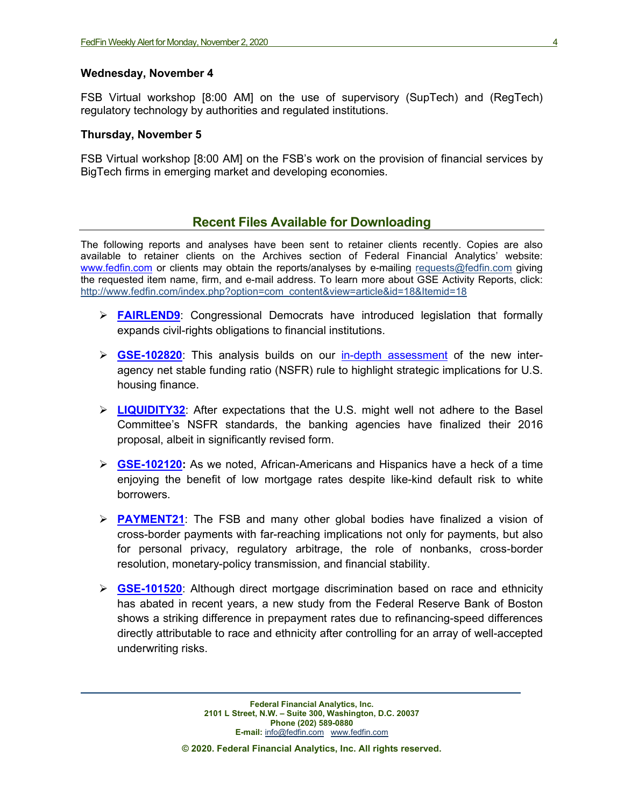#### **Wednesday, November 4**

FSB Virtual workshop [8:00 AM] on the use of supervisory (SupTech) and (RegTech) regulatory technology by authorities and regulated institutions.

#### **Thursday, November 5**

FSB Virtual workshop [8:00 AM] on the FSB's work on the provision of financial services by BigTech firms in emerging market and developing economies.

## **Recent Files Available for Downloading**

The following reports and analyses have been sent to retainer clients recently. Copies are also available to retainer clients on the Archives section of Federal Financial Analytics' website: [www.fedfin.com](http://www.fedfin.com/) or clients may obtain the reports/analyses by e-mailing [requests@fedfin.com](mailto:requests@fedfin.com) giving the requested item name, firm, and e-mail address. To learn more about GSE Activity Reports, click: [http://www.fedfin.com/index.php?option=com\\_content&view=article&id=18&Itemid=18](http://www.fedfin.com/index.php?option=com_content&view=article&id=18&Itemid=18)

- **[FAIRLEND9](https://fedfin.com/wp-content/uploads/2020/10/FAIRLEND9.pdf)**: Congressional Democrats have introduced legislation that formally expands civil-rights obligations to financial institutions.
- **[GSE-102820](https://fedfin.com/wp-content/uploads/2020/10/GSE-102820.pdf)**: This analysis builds on our [in-depth assessment](https://fedfin.com/wp-content/uploads/2020/10/LIQUIDITY32.pdf) of the new interagency net stable funding ratio (NSFR) rule to highlight strategic implications for U.S. housing finance.
- **[LIQUIDITY32](https://fedfin.com/wp-content/uploads/2020/10/LIQUIDITY32.pdf)**: After expectations that the U.S. might well not adhere to the Basel Committee's NSFR standards, the banking agencies have finalized their 2016 proposal, albeit in significantly revised form.
- **[GSE-102120:](https://fedfin.com/wp-content/uploads/2020/10/GSE-102120.pdf)** As we noted, African-Americans and Hispanics have a heck of a time enjoying the benefit of low mortgage rates despite like-kind default risk to white borrowers.
- **[PAYMENT21](https://fedfin.com/wp-content/uploads/2020/10/PAYMENT21.pdf)**: The FSB and many other global bodies have finalized a vision of cross-border payments with far-reaching implications not only for payments, but also for personal privacy, regulatory arbitrage, the role of nonbanks, cross-border resolution, monetary-policy transmission, and financial stability.
- **[GSE-101520](https://fedfin.com/wp-content/uploads/2020/10/GSE-101520.pdf)**: Although direct mortgage discrimination based on race and ethnicity has abated in recent years, a new study from the Federal Reserve Bank of Boston shows a striking difference in prepayment rates due to refinancing-speed differences directly attributable to race and ethnicity after controlling for an array of well-accepted underwriting risks.